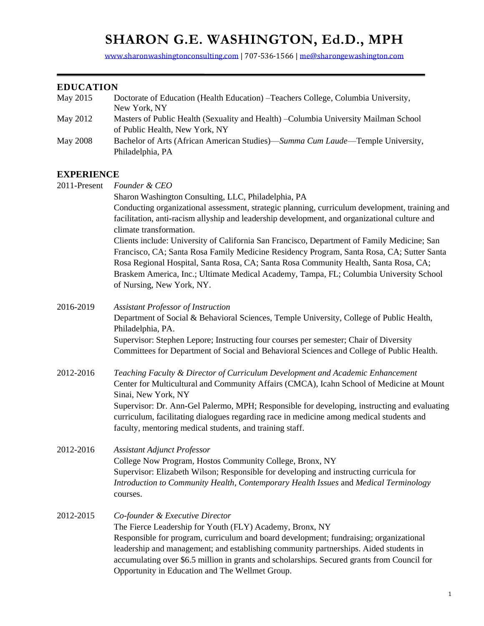# **SHARON G.E. WASHINGTON, Ed.D., MPH**

[www.sharonwashingtonconsulting.com](http://www.sharonwashingtonconsulting.com/) | 707-536-1566 [| me@sharongewashington.com](mailto:me@sharongewashington.com)

# **EDUCATION**

| May 2015          | Doctorate of Education (Health Education) - Teachers College, Columbia University,<br>New York, NY                                                                                                                                                                                                                                                                                                                               |  |  |  |  |
|-------------------|----------------------------------------------------------------------------------------------------------------------------------------------------------------------------------------------------------------------------------------------------------------------------------------------------------------------------------------------------------------------------------------------------------------------------------|--|--|--|--|
| May 2012          | Masters of Public Health (Sexuality and Health) - Columbia University Mailman School<br>of Public Health, New York, NY                                                                                                                                                                                                                                                                                                           |  |  |  |  |
| <b>May 2008</b>   | Bachelor of Arts (African American Studies)—Summa Cum Laude—Temple University,<br>Philadelphia, PA                                                                                                                                                                                                                                                                                                                               |  |  |  |  |
| <b>EXPERIENCE</b> |                                                                                                                                                                                                                                                                                                                                                                                                                                  |  |  |  |  |
| 2011-Present      | Founder & CEO                                                                                                                                                                                                                                                                                                                                                                                                                    |  |  |  |  |
|                   | Sharon Washington Consulting, LLC, Philadelphia, PA                                                                                                                                                                                                                                                                                                                                                                              |  |  |  |  |
|                   | Conducting organizational assessment, strategic planning, curriculum development, training and<br>facilitation, anti-racism allyship and leadership development, and organizational culture and<br>climate transformation.                                                                                                                                                                                                       |  |  |  |  |
|                   | Clients include: University of California San Francisco, Department of Family Medicine; San<br>Francisco, CA; Santa Rosa Family Medicine Residency Program, Santa Rosa, CA; Sutter Santa<br>Rosa Regional Hospital, Santa Rosa, CA; Santa Rosa Community Health, Santa Rosa, CA;                                                                                                                                                 |  |  |  |  |
|                   | Braskem America, Inc.; Ultimate Medical Academy, Tampa, FL; Columbia University School<br>of Nursing, New York, NY.                                                                                                                                                                                                                                                                                                              |  |  |  |  |
| 2016-2019         | <b>Assistant Professor of Instruction</b>                                                                                                                                                                                                                                                                                                                                                                                        |  |  |  |  |
|                   | Department of Social & Behavioral Sciences, Temple University, College of Public Health,<br>Philadelphia, PA.                                                                                                                                                                                                                                                                                                                    |  |  |  |  |
|                   | Supervisor: Stephen Lepore; Instructing four courses per semester; Chair of Diversity<br>Committees for Department of Social and Behavioral Sciences and College of Public Health.                                                                                                                                                                                                                                               |  |  |  |  |
| 2012-2016         | Teaching Faculty & Director of Curriculum Development and Academic Enhancement<br>Center for Multicultural and Community Affairs (CMCA), Icahn School of Medicine at Mount<br>Sinai, New York, NY                                                                                                                                                                                                                                |  |  |  |  |
|                   | Supervisor: Dr. Ann-Gel Palermo, MPH; Responsible for developing, instructing and evaluating<br>curriculum, facilitating dialogues regarding race in medicine among medical students and<br>faculty, mentoring medical students, and training staff.                                                                                                                                                                             |  |  |  |  |
| 2012-2016         | <b>Assistant Adjunct Professor</b><br>College Now Program, Hostos Community College, Bronx, NY<br>Supervisor: Elizabeth Wilson; Responsible for developing and instructing curricula for<br>Introduction to Community Health, Contemporary Health Issues and Medical Terminology<br>courses.                                                                                                                                     |  |  |  |  |
| 2012-2015         | Co-founder & Executive Director<br>The Fierce Leadership for Youth (FLY) Academy, Bronx, NY<br>Responsible for program, curriculum and board development; fundraising; organizational<br>leadership and management; and establishing community partnerships. Aided students in<br>accumulating over \$6.5 million in grants and scholarships. Secured grants from Council for<br>Opportunity in Education and The Wellmet Group. |  |  |  |  |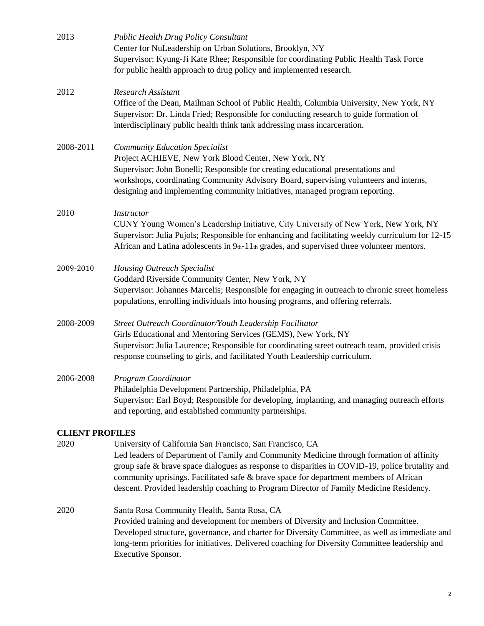| 2013                   | <b>Public Health Drug Policy Consultant</b><br>Center for NuLeadership on Urban Solutions, Brooklyn, NY<br>Supervisor: Kyung-Ji Kate Rhee; Responsible for coordinating Public Health Task Force<br>for public health approach to drug policy and implemented research.                                                                                                                                                                      |  |  |  |
|------------------------|----------------------------------------------------------------------------------------------------------------------------------------------------------------------------------------------------------------------------------------------------------------------------------------------------------------------------------------------------------------------------------------------------------------------------------------------|--|--|--|
| 2012                   | <b>Research Assistant</b><br>Office of the Dean, Mailman School of Public Health, Columbia University, New York, NY<br>Supervisor: Dr. Linda Fried; Responsible for conducting research to guide formation of<br>interdisciplinary public health think tank addressing mass incarceration.                                                                                                                                                   |  |  |  |
| 2008-2011              | <b>Community Education Specialist</b><br>Project ACHIEVE, New York Blood Center, New York, NY<br>Supervisor: John Bonelli; Responsible for creating educational presentations and<br>workshops, coordinating Community Advisory Board, supervising volunteers and interns,<br>designing and implementing community initiatives, managed program reporting.                                                                                   |  |  |  |
| 2010                   | <b>Instructor</b><br>CUNY Young Women's Leadership Initiative, City University of New York, New York, NY<br>Supervisor: Julia Pujols; Responsible for enhancing and facilitating weekly curriculum for 12-15<br>African and Latina adolescents in 9th-11th grades, and supervised three volunteer mentors.                                                                                                                                   |  |  |  |
| 2009-2010              | <b>Housing Outreach Specialist</b><br>Goddard Riverside Community Center, New York, NY<br>Supervisor: Johannes Marcelis; Responsible for engaging in outreach to chronic street homeless<br>populations, enrolling individuals into housing programs, and offering referrals.                                                                                                                                                                |  |  |  |
| 2008-2009              | Street Outreach Coordinator/Youth Leadership Facilitator<br>Girls Educational and Mentoring Services (GEMS), New York, NY<br>Supervisor: Julia Laurence; Responsible for coordinating street outreach team, provided crisis<br>response counseling to girls, and facilitated Youth Leadership curriculum.                                                                                                                                    |  |  |  |
| 2006-2008              | Program Coordinator<br>Philadelphia Development Partnership, Philadelphia, PA<br>Supervisor: Earl Boyd; Responsible for developing, implanting, and managing outreach efforts<br>and reporting, and established community partnerships.                                                                                                                                                                                                      |  |  |  |
| <b>CLIENT PROFILES</b> |                                                                                                                                                                                                                                                                                                                                                                                                                                              |  |  |  |
| 2020                   | University of California San Francisco, San Francisco, CA<br>Led leaders of Department of Family and Community Medicine through formation of affinity<br>group safe & brave space dialogues as response to disparities in COVID-19, police brutality and<br>community uprisings. Facilitated safe & brave space for department members of African<br>descent. Provided leadership coaching to Program Director of Family Medicine Residency. |  |  |  |
| 2020                   | Santa Rosa Community Health, Santa Rosa, CA<br>Provided training and development for members of Diversity and Inclusion Committee.<br>Developed structure, governance, and charter for Diversity Committee, as well as immediate and<br>long-term priorities for initiatives. Delivered coaching for Diversity Committee leadership and<br>Executive Sponsor.                                                                                |  |  |  |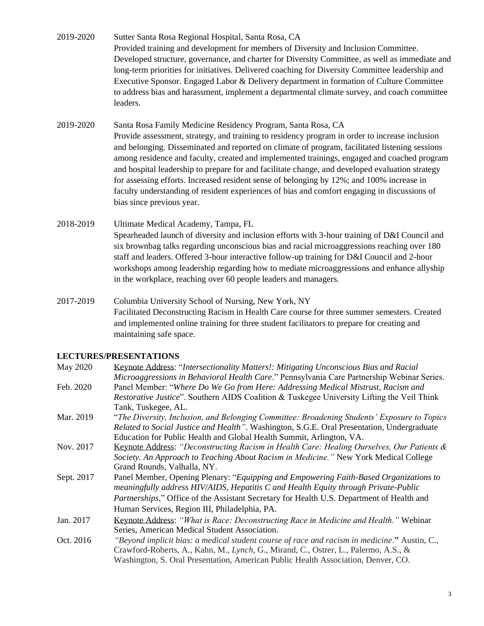2019-2020 Sutter Santa Rosa Regional Hospital, Santa Rosa, CA Provided training and development for members of Diversity and Inclusion Committee. Developed structure, governance, and charter for Diversity Committee, as well as immediate and long-term priorities for initiatives. Delivered coaching for Diversity Committee leadership and Executive Sponsor. Engaged Labor & Delivery department in formation of Culture Committee to address bias and harassment, implement a departmental climate survey, and coach committee leaders.

#### 2019-2020 Santa Rosa Family Medicine Residency Program, Santa Rosa, CA

- Provide assessment, strategy, and training to residency program in order to increase inclusion and belonging. Disseminated and reported on climate of program, facilitated listening sessions among residence and faculty, created and implemented trainings, engaged and coached program and hospital leadership to prepare for and facilitate change, and developed evaluation strategy for assessing efforts. Increased resident sense of belonging by 12%; and 100% increase in faculty understanding of resident experiences of bias and comfort engaging in discussions of bias since previous year.
- 2018-2019 Ultimate Medical Academy, Tampa, FL Spearheaded launch of diversity and inclusion efforts with 3-hour training of D&I Council and six brownbag talks regarding unconscious bias and racial microaggressions reaching over 180 staff and leaders. Offered 3-hour interactive follow-up training for D&I Council and 2-hour workshops among leadership regarding how to mediate microaggressions and enhance allyship in the workplace, reaching over 60 people leaders and managers.
- 2017-2019 Columbia University School of Nursing, New York, NY Facilitated Deconstructing Racism in Health Care course for three summer semesters. Created and implemented online training for three student facilitators to prepare for creating and maintaining safe space.

## **LECTURES/PRESENTATIONS**

| May 2020   | Keynote Address: "Intersectionality Matters!: Mitigating Unconscious Bias and Racial               |
|------------|----------------------------------------------------------------------------------------------------|
|            | Microaggressions in Behavioral Health Care." Pennsylvania Care Partnership Webinar Series.         |
| Feb. 2020  | Panel Member: "Where Do We Go from Here: Addressing Medical Mistrust, Racism and                   |
|            | <i>Restorative Justice</i> ". Southern AIDS Coalition & Tuskegee University Lifting the Veil Think |
|            | Tank, Tuskegee, AL.                                                                                |
| Mar. 2019  | "The Diversity, Inclusion, and Belonging Committee: Broadening Students' Exposure to Topics        |
|            | Related to Social Justice and Health". Washington, S.G.E. Oral Presentation, Undergraduate         |
|            | Education for Public Health and Global Health Summit, Arlington, VA.                               |
| Nov. 2017  | Keynote Address: "Deconstructing Racism in Health Care: Healing Ourselves, Our Patients &          |
|            | Society. An Approach to Teaching About Racism in Medicine." New York Medical College               |
|            | Grand Rounds, Valhalla, NY.                                                                        |
| Sept. 2017 | Panel Member, Opening Plenary: "Equipping and Empowering Faith-Based Organizations to              |
|            | meaningfully address HIV/AIDS, Hepatitis C and Health Equity through Private-Public                |
|            | <i>Partnerships,</i> " Office of the Assistant Secretary for Health U.S. Department of Health and  |
|            | Human Services, Region III, Philadelphia, PA.                                                      |
| Jan. 2017  | Keynote Address: "What is Race: Deconstructing Race in Medicine and Health." Webinar               |
|            | Series, American Medical Student Association.                                                      |
| Oct. 2016  | "Beyond implicit bias: a medical student course of race and racism in medicine." Austin, C.,       |
|            | Crawford-Roberts, A., Kahn, M., Lynch, G., Mirand, C., Ostrer, L., Palermo, A.S., &                |
|            | Washington, S. Oral Presentation, American Public Health Association, Denver, CO.                  |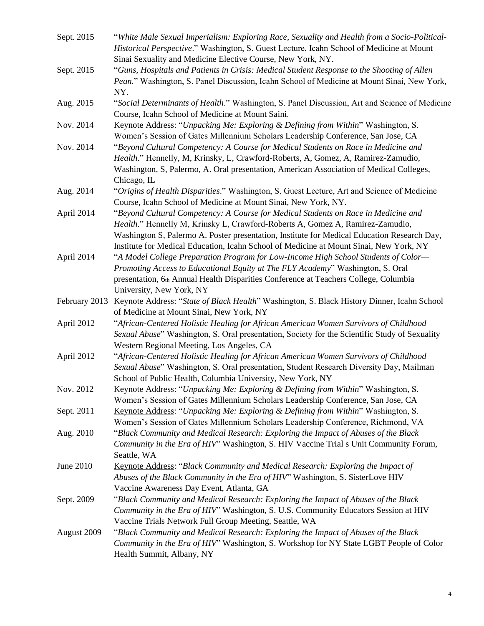| Sept. 2015    | "White Male Sexual Imperialism: Exploring Race, Sexuality and Health from a Socio-Political-<br>Historical Perspective." Washington, S. Guest Lecture, Icahn School of Medicine at Mount<br>Sinai Sexuality and Medicine Elective Course, New York, NY.                                                                                                      |
|---------------|--------------------------------------------------------------------------------------------------------------------------------------------------------------------------------------------------------------------------------------------------------------------------------------------------------------------------------------------------------------|
| Sept. 2015    | "Guns, Hospitals and Patients in Crisis: Medical Student Response to the Shooting of Allen<br>Pean." Washington, S. Panel Discussion, Icahn School of Medicine at Mount Sinai, New York,<br>NY.                                                                                                                                                              |
| Aug. 2015     | "Social Determinants of Health." Washington, S. Panel Discussion, Art and Science of Medicine<br>Course, Icahn School of Medicine at Mount Saini.                                                                                                                                                                                                            |
| Nov. 2014     | Keynote Address: "Unpacking Me: Exploring & Defining from Within" Washington, S.<br>Women's Session of Gates Millennium Scholars Leadership Conference, San Jose, CA                                                                                                                                                                                         |
| Nov. 2014     | "Beyond Cultural Competency: A Course for Medical Students on Race in Medicine and<br>Health." Hennelly, M, Krinsky, L, Crawford-Roberts, A, Gomez, A, Ramirez-Zamudio,<br>Washington, S, Palermo, A. Oral presentation, American Association of Medical Colleges,<br>Chicago, IL                                                                            |
| Aug. 2014     | "Origins of Health Disparities." Washington, S. Guest Lecture, Art and Science of Medicine<br>Course, Icahn School of Medicine at Mount Sinai, New York, NY.                                                                                                                                                                                                 |
| April 2014    | "Beyond Cultural Competency: A Course for Medical Students on Race in Medicine and<br>Health." Hennelly M, Krinsky L, Crawford-Roberts A, Gomez A, Ramirez-Zamudio,<br>Washington S, Palermo A. Poster presentation, Institute for Medical Education Research Day,<br>Institute for Medical Education, Icahn School of Medicine at Mount Sinai, New York, NY |
| April 2014    | "A Model College Preparation Program for Low-Income High School Students of Color—<br>Promoting Access to Educational Equity at The FLY Academy" Washington, S. Oral<br>presentation, 6th Annual Health Disparities Conference at Teachers College, Columbia<br>University, New York, NY                                                                     |
| February 2013 | Keynote Address: "State of Black Health" Washington, S. Black History Dinner, Icahn School<br>of Medicine at Mount Sinai, New York, NY                                                                                                                                                                                                                       |
| April 2012    | "African-Centered Holistic Healing for African American Women Survivors of Childhood<br>Sexual Abuse" Washington, S. Oral presentation, Society for the Scientific Study of Sexuality<br>Western Regional Meeting, Los Angeles, CA                                                                                                                           |
| April 2012    | "African-Centered Holistic Healing for African American Women Survivors of Childhood<br>Sexual Abuse" Washington, S. Oral presentation, Student Research Diversity Day, Mailman<br>School of Public Health, Columbia University, New York, NY                                                                                                                |
| Nov. 2012     | Keynote Address: "Unpacking Me: Exploring & Defining from Within" Washington, S.<br>Women's Session of Gates Millennium Scholars Leadership Conference, San Jose, CA                                                                                                                                                                                         |
| Sept. 2011    | Keynote Address: "Unpacking Me: Exploring & Defining from Within" Washington, S.<br>Women's Session of Gates Millennium Scholars Leadership Conference, Richmond, VA                                                                                                                                                                                         |
| Aug. 2010     | "Black Community and Medical Research: Exploring the Impact of Abuses of the Black<br>Community in the Era of HIV" Washington, S. HIV Vaccine Trial s Unit Community Forum,<br>Seattle, WA                                                                                                                                                                   |
| June 2010     | Keynote Address: "Black Community and Medical Research: Exploring the Impact of<br>Abuses of the Black Community in the Era of HIV" Washington, S. SisterLove HIV<br>Vaccine Awareness Day Event, Atlanta, GA                                                                                                                                                |
| Sept. 2009    | "Black Community and Medical Research: Exploring the Impact of Abuses of the Black<br>Community in the Era of HIV" Washington, S. U.S. Community Educators Session at HIV<br>Vaccine Trials Network Full Group Meeting, Seattle, WA                                                                                                                          |
| August 2009   | "Black Community and Medical Research: Exploring the Impact of Abuses of the Black<br>Community in the Era of HIV" Washington, S. Workshop for NY State LGBT People of Color<br>Health Summit, Albany, NY                                                                                                                                                    |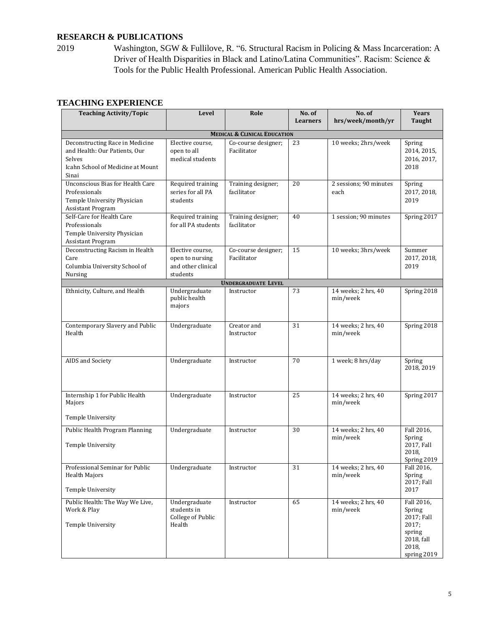# **RESEARCH & PUBLICATIONS**

2019 Washington, SGW & Fullilove, R. "6. Structural Racism in Policing & Mass Incarceration: A Driver of Health Disparities in Black and Latino/Latina Communities". Racism: Science & Tools for the Public Health Professional. American Public Health Association.

| <b>Teaching Activity/Topic</b>                                                                                           | Level                                                                 | Role                                    | No. of<br><b>Learners</b> | No. of<br>hrs/week/month/yr     | <b>Years</b><br>Taught                                                                      |
|--------------------------------------------------------------------------------------------------------------------------|-----------------------------------------------------------------------|-----------------------------------------|---------------------------|---------------------------------|---------------------------------------------------------------------------------------------|
|                                                                                                                          |                                                                       | <b>MEDICAL &amp; CLINICAL EDUCATION</b> |                           |                                 |                                                                                             |
| Deconstructing Race in Medicine<br>and Health: Our Patients, Our<br>Selves<br>Icahn School of Medicine at Mount<br>Sinai | Elective course,<br>open to all<br>medical students                   | Co-course designer;<br>Facilitator      | 23                        | 10 weeks; 2hrs/week             | Spring<br>2014, 2015,<br>2016, 2017,<br>2018                                                |
| <b>Unconscious Bias for Health Care</b><br>Professionals<br>Temple University Physician<br><b>Assistant Program</b>      | Required training<br>series for all PA<br>students                    | Training designer;<br>facilitator       | 20                        | 2 sessions; 90 minutes<br>each  | Spring<br>2017, 2018,<br>2019                                                               |
| Self-Care for Health Care<br>Professionals<br>Temple University Physician<br><b>Assistant Program</b>                    | Required training<br>for all PA students                              | Training designer;<br>facilitator       | 40                        | 1 session; 90 minutes           | Spring 2017                                                                                 |
| Deconstructing Racism in Health<br>Care<br>Columbia University School of<br>Nursing                                      | Elective course,<br>open to nursing<br>and other clinical<br>students | Co-course designer;<br>Facilitator      | 15                        | 10 weeks; 3hrs/week             | Summer<br>2017, 2018,<br>2019                                                               |
|                                                                                                                          |                                                                       | <b>UNDERGRADUATE LEVEL</b>              |                           |                                 |                                                                                             |
| Ethnicity, Culture, and Health                                                                                           | Undergraduate<br>public health<br>majors                              | Instructor                              | 73                        | 14 weeks; 2 hrs, 40<br>min/week | Spring 2018                                                                                 |
| Contemporary Slavery and Public<br>Health                                                                                | Undergraduate                                                         | Creator and<br>Instructor               | 31                        | 14 weeks; 2 hrs, 40<br>min/week | Spring 2018                                                                                 |
| AIDS and Society                                                                                                         | Undergraduate                                                         | Instructor                              | 70                        | 1 week; 8 hrs/day               | Spring<br>2018, 2019                                                                        |
| Internship 1 for Public Health<br>Majors<br><b>Temple University</b>                                                     | Undergraduate                                                         | Instructor                              | 25                        | 14 weeks; 2 hrs, 40<br>min/week | Spring 2017                                                                                 |
| Public Health Program Planning<br>Temple University                                                                      | Undergraduate                                                         | Instructor                              | 30                        | 14 weeks; 2 hrs, 40<br>min/week | Fall 2016.<br>Spring<br>2017, Fall<br>2018,<br>Spring 2019                                  |
| Professional Seminar for Public<br><b>Health Majors</b><br>Temple University                                             | Undergraduate                                                         | Instructor                              | 31                        | 14 weeks; 2 hrs, 40<br>min/week | Fall 2016,<br>Spring<br>2017; Fall<br>2017                                                  |
| Public Health: The Way We Live,<br>Work & Play<br>Temple University                                                      | Undergraduate<br>students in<br>College of Public<br>Health           | Instructor                              | 65                        | 14 weeks; 2 hrs, 40<br>min/week | Fall 2016,<br>Spring<br>2017; Fall<br>2017;<br>spring<br>2018, fall<br>2018,<br>spring 2019 |

#### **TEACHING EXPERIENCE**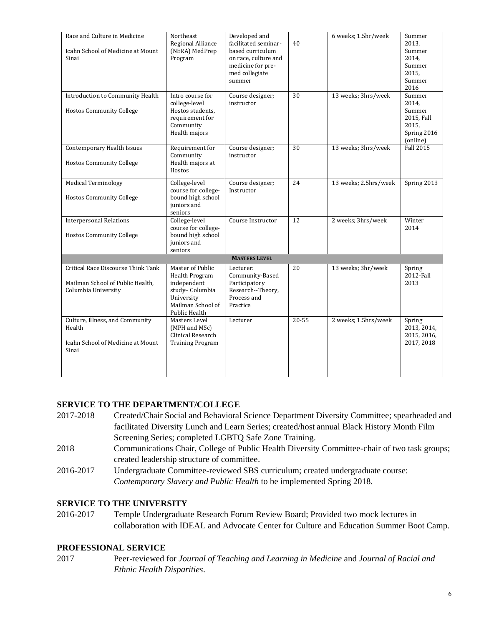| Race and Culture in Medicine<br><b>Icahn School of Medicine at Mount</b><br>Sinai             | Northeast<br>Regional Alliance<br>(NERA) MedPrep<br>Program                                                             | Developed and<br>facilitated seminar-<br>based curriculum<br>on race, culture and<br>medicine for pre-<br>med collegiate<br>summer | 40        | 6 weeks; 1.5hr/week   | Summer<br>2013.<br>Summer<br>2014,<br>Summer<br>2015.<br>Summer<br>2016     |
|-----------------------------------------------------------------------------------------------|-------------------------------------------------------------------------------------------------------------------------|------------------------------------------------------------------------------------------------------------------------------------|-----------|-----------------------|-----------------------------------------------------------------------------|
| Introduction to Community Health<br><b>Hostos Community College</b>                           | Intro course for<br>college-level<br>Hostos students,<br>requirement for<br>Community<br>Health majors                  | Course designer;<br>instructor                                                                                                     | 30        | 13 weeks; 3hrs/week   | Summer<br>2014,<br>Summer<br>2015, Fall<br>2015,<br>Spring 2016<br>(online) |
| Contemporary Health Issues<br><b>Hostos Community College</b>                                 | Requirement for<br>Community<br>Health majors at<br>Hostos                                                              | Course designer;<br>instructor                                                                                                     | 30        | 13 weeks; 3hrs/week   | <b>Fall 2015</b>                                                            |
| <b>Medical Terminology</b><br><b>Hostos Community College</b>                                 | College-level<br>course for college-<br>bound high school<br>juniors and<br>seniors                                     | Course designer;<br>Instructor                                                                                                     | 24        | 13 weeks; 2.5hrs/week | Spring 2013                                                                 |
| <b>Interpersonal Relations</b><br><b>Hostos Community College</b>                             | College-level<br>course for college-<br>bound high school<br>juniors and<br>seniors                                     | Course Instructor                                                                                                                  | 12        | 2 weeks; 3hrs/week    | Winter<br>2014                                                              |
| <b>MASTERS LEVEL</b>                                                                          |                                                                                                                         |                                                                                                                                    |           |                       |                                                                             |
| Critical Race Discourse Think Tank<br>Mailman School of Public Health,<br>Columbia University | Master of Public<br>Health Program<br>independent<br>study-Columbia<br>University<br>Mailman School of<br>Public Health | Lecturer:<br>Community-Based<br>Participatory<br>Research--Theory,<br>Process and<br>Practice                                      | 20        | 13 weeks; 3hr/week    | Spring<br>2012-Fall<br>2013                                                 |
| Culture, Illness, and Community<br>Health<br>Icahn School of Medicine at Mount<br>Sinai       | Masters Level<br>(MPH and MSc)<br>Clinical Research<br><b>Training Program</b>                                          | Lecturer                                                                                                                           | $20 - 55$ | 2 weeks; 1.5hrs/week  | Spring<br>2013, 2014,<br>2015, 2016,<br>2017, 2018                          |

## **SERVICE TO THE DEPARTMENT/COLLEGE**

- 2017-2018 Created/Chair Social and Behavioral Science Department Diversity Committee; spearheaded and facilitated Diversity Lunch and Learn Series; created/host annual Black History Month Film Screening Series; completed LGBTQ Safe Zone Training.
- 2018 Communications Chair, College of Public Health Diversity Committee-chair of two task groups; created leadership structure of committee.
- 2016-2017 Undergraduate Committee-reviewed SBS curriculum; created undergraduate course: *Contemporary Slavery and Public Health* to be implemented Spring 2018.

#### **SERVICE TO THE UNIVERSITY**

2016-2017 Temple Undergraduate Research Forum Review Board; Provided two mock lectures in collaboration with IDEAL and Advocate Center for Culture and Education Summer Boot Camp.

#### **PROFESSIONAL SERVICE**

2017 Peer-reviewed for *Journal of Teaching and Learning in Medicine* and *Journal of Racial and Ethnic Health Disparities*.